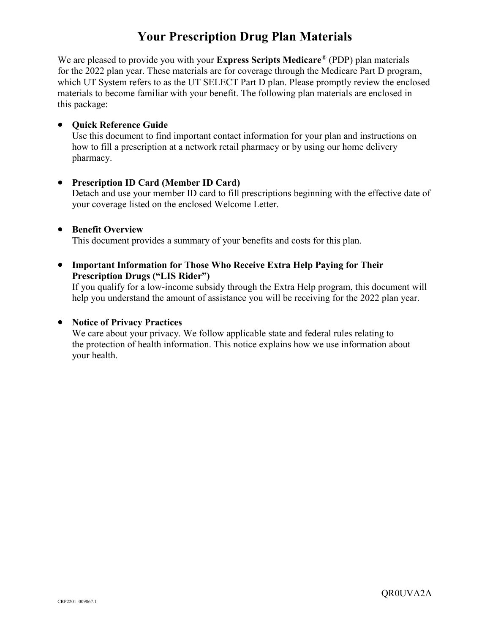# **Your Prescription Drug Plan Materials**

We are pleased to provide you with your **Express Scripts Medicare**® (PDP) plan materials for the 2022 plan year. These materials are for coverage through the Medicare Part D program, which UT System refers to as the UT SELECT Part D plan. Please promptly review the enclosed materials to become familiar with your benefit. The following plan materials are enclosed in this package:

### **• Quick Reference Guide**

Use this document to find important contact information for your plan and instructions on how to fill a prescription at a network retail pharmacy or by using our home delivery pharmacy.

#### **Prescription ID Card (Member ID Card)**

Detach and use your member ID card to fill prescriptions beginning with the effective date of your coverage listed on the enclosed Welcome Letter.

#### **•** Benefit Overview

This document provides a summary of your benefits and costs for this plan.

### **Important Information for Those Who Receive Extra Help Paying for Their Prescription Drugs ("LIS Rider")**

If you qualify for a low-income subsidy through the Extra Help program, this document will help you understand the amount of assistance you will be receiving for the 2022 plan year.

### **Notice of Privacy Practices**

We care about your privacy. We follow applicable state and federal rules relating to the protection of health information. This notice explains how we use information about your health.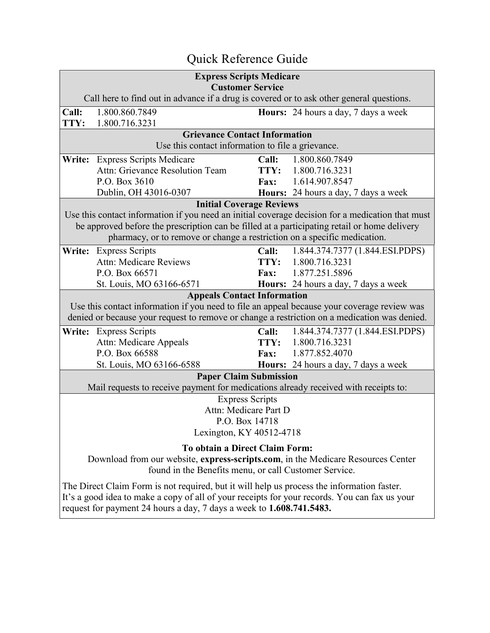# Quick Reference Guide

| <b>Express Scripts Medicare</b>                                                                                     |                                                                                                  |             |                                             |  |  |  |  |  |  |
|---------------------------------------------------------------------------------------------------------------------|--------------------------------------------------------------------------------------------------|-------------|---------------------------------------------|--|--|--|--|--|--|
| <b>Customer Service</b><br>Call here to find out in advance if a drug is covered or to ask other general questions. |                                                                                                  |             |                                             |  |  |  |  |  |  |
| Call:                                                                                                               | 1.800.860.7849                                                                                   |             | <b>Hours:</b> 24 hours a day, 7 days a week |  |  |  |  |  |  |
| TTY:                                                                                                                | 1.800.716.3231                                                                                   |             |                                             |  |  |  |  |  |  |
|                                                                                                                     | <b>Grievance Contact Information</b>                                                             |             |                                             |  |  |  |  |  |  |
|                                                                                                                     | Use this contact information to file a grievance.                                                |             |                                             |  |  |  |  |  |  |
| Write:                                                                                                              | <b>Express Scripts Medicare</b>                                                                  | Call:       | 1.800.860.7849                              |  |  |  |  |  |  |
|                                                                                                                     | Attn: Grievance Resolution Team                                                                  |             | TTY: 1.800.716.3231                         |  |  |  |  |  |  |
|                                                                                                                     | P.O. Box 3610                                                                                    | <b>Fax:</b> | 1.614.907.8547                              |  |  |  |  |  |  |
|                                                                                                                     | Dublin, OH 43016-0307                                                                            |             | Hours: 24 hours a day, 7 days a week        |  |  |  |  |  |  |
|                                                                                                                     | <b>Initial Coverage Reviews</b>                                                                  |             |                                             |  |  |  |  |  |  |
|                                                                                                                     | Use this contact information if you need an initial coverage decision for a medication that must |             |                                             |  |  |  |  |  |  |
|                                                                                                                     | be approved before the prescription can be filled at a participating retail or home delivery     |             |                                             |  |  |  |  |  |  |
|                                                                                                                     | pharmacy, or to remove or change a restriction on a specific medication.                         |             |                                             |  |  |  |  |  |  |
|                                                                                                                     | Write: Express Scripts                                                                           | Call:       | 1.844.374.7377 (1.844.ESI.PDPS)             |  |  |  |  |  |  |
|                                                                                                                     | <b>Attn: Medicare Reviews</b>                                                                    |             | TTY: 1.800.716.3231                         |  |  |  |  |  |  |
|                                                                                                                     | P.O. Box 66571                                                                                   | <b>Fax:</b> | 1.877.251.5896                              |  |  |  |  |  |  |
|                                                                                                                     | St. Louis, MO 63166-6571                                                                         |             | Hours: 24 hours a day, 7 days a week        |  |  |  |  |  |  |
|                                                                                                                     | <b>Appeals Contact Information</b>                                                               |             |                                             |  |  |  |  |  |  |
|                                                                                                                     | Use this contact information if you need to file an appeal because your coverage review was      |             |                                             |  |  |  |  |  |  |
| denied or because your request to remove or change a restriction on a medication was denied.                        |                                                                                                  |             |                                             |  |  |  |  |  |  |
|                                                                                                                     | Write: Express Scripts                                                                           | Call:       | 1.844.374.7377 (1.844.ESI.PDPS)             |  |  |  |  |  |  |
|                                                                                                                     | Attn: Medicare Appeals                                                                           |             | TTY: 1.800.716.3231                         |  |  |  |  |  |  |
|                                                                                                                     | P.O. Box 66588                                                                                   |             | Fax: 1.877.852.4070                         |  |  |  |  |  |  |
|                                                                                                                     | St. Louis, MO 63166-6588                                                                         |             | Hours: 24 hours a day, 7 days a week        |  |  |  |  |  |  |
|                                                                                                                     | <b>Paper Claim Submission</b>                                                                    |             |                                             |  |  |  |  |  |  |
|                                                                                                                     | Mail requests to receive payment for medications already received with receipts to:              |             |                                             |  |  |  |  |  |  |
|                                                                                                                     | <b>Express Scripts</b>                                                                           |             |                                             |  |  |  |  |  |  |
| Attn: Medicare Part D                                                                                               |                                                                                                  |             |                                             |  |  |  |  |  |  |
| P.O. Box 14718                                                                                                      |                                                                                                  |             |                                             |  |  |  |  |  |  |
| Lexington, KY 40512-4718                                                                                            |                                                                                                  |             |                                             |  |  |  |  |  |  |
| To obtain a Direct Claim Form:                                                                                      |                                                                                                  |             |                                             |  |  |  |  |  |  |
| Download from our website, express-scripts.com, in the Medicare Resources Center                                    |                                                                                                  |             |                                             |  |  |  |  |  |  |
| found in the Benefits menu, or call Customer Service.                                                               |                                                                                                  |             |                                             |  |  |  |  |  |  |
| The Direct Claim Form is not required, but it will help us process the information faster.                          |                                                                                                  |             |                                             |  |  |  |  |  |  |
| It's a good idea to make a copy of all of your receipts for your records. You can fax us your                       |                                                                                                  |             |                                             |  |  |  |  |  |  |
| request for payment 24 hours a day, 7 days a week to 1.608.741.5483.                                                |                                                                                                  |             |                                             |  |  |  |  |  |  |
|                                                                                                                     |                                                                                                  |             |                                             |  |  |  |  |  |  |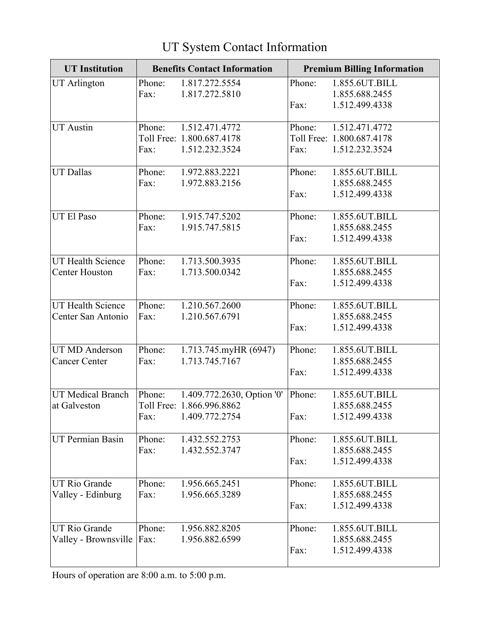| <b>UT Institution</b>    | <b>Benefits Contact Information</b> |                            | <b>Premium Billing Information</b> |                           |
|--------------------------|-------------------------------------|----------------------------|------------------------------------|---------------------------|
| <b>UT</b> Arlington      | Phone:                              | 1.817.272.5554             | Phone:                             | 1.855.6UT.BILL            |
|                          | Fax:                                | 1.817.272.5810             |                                    | 1.855.688.2455            |
|                          |                                     |                            | Fax:                               | 1.512.499.4338            |
| <b>UT</b> Austin         | Phone:                              | 1.512.471.4772             | Phone:                             | 1.512.471.4772            |
|                          |                                     | Toll Free: 1.800.687.4178  |                                    | Toll Free: 1.800.687.4178 |
|                          | Fax:                                | 1.512.232.3524             | Fax:                               | 1.512.232.3524            |
| <b>UT Dallas</b>         | Phone:                              | 1.972.883.2221             | Phone:                             | 1.855.6UT.BILL            |
|                          | Fax:                                | 1.972.883.2156             |                                    | 1.855.688.2455            |
|                          |                                     |                            | Fax:                               | 1.512.499.4338            |
| UT El Paso               | Phone:                              | 1.915.747.5202             | Phone:                             | 1.855.6UT.BILL            |
|                          | Fax:                                | 1.915.747.5815             |                                    | 1.855.688.2455            |
|                          |                                     |                            | Fax:                               | 1.512.499.4338            |
| <b>UT Health Science</b> | Phone:                              | 1.713.500.3935             | Phone:                             | 1.855.6UT.BILL            |
| <b>Center Houston</b>    | Fax:                                | 1.713.500.0342             |                                    | 1.855.688.2455            |
|                          |                                     |                            | Fax:                               | 1.512.499.4338            |
| UT Health Science        | Phone:                              | 1.210.567.2600             | Phone:                             | 1.855.6UT.BILL            |
| Center San Antonio       | Fax:                                | 1.210.567.6791             |                                    | 1.855.688.2455            |
|                          |                                     |                            | Fax:                               | 1.512.499.4338            |
| <b>UT MD Anderson</b>    | Phone:                              | 1.713.745.myHR (6947)      | Phone:                             | 1.855.6UT.BILL            |
| <b>Cancer Center</b>     | Fax:                                | 1.713.745.7167             |                                    | 1.855.688.2455            |
|                          |                                     |                            | Fax:                               | 1.512.499.4338            |
| <b>UT Medical Branch</b> | Phone:                              | 1.409.772.2630, Option '0' | Phone:                             | 1.855.6UT.BILL            |
| at Galveston             |                                     | Toll Free: 1.866.996.8862  |                                    | 1.855.688.2455            |
|                          | Fax:                                | 1.409.772.2754             | Fax:                               | 1.512.499.4338            |
| <b>UT Permian Basin</b>  | Phone:                              | 1.432.552.2753             | Phone:                             | 1.855.6UT.BILL            |
|                          | Fax:                                | 1.432.552.3747             |                                    | 1.855.688.2455            |
|                          |                                     |                            | Fax:                               | 1.512.499.4338            |
| <b>UT Rio Grande</b>     | Phone:                              | 1.956.665.2451             | Phone:                             | 1.855.6UT.BILL            |
| Valley - Edinburg        | Fax:                                | 1.956.665.3289             |                                    | 1.855.688.2455            |
|                          |                                     |                            | Fax:                               | 1.512.499.4338            |
| <b>UT Rio Grande</b>     | Phone:                              | 1.956.882.8205             | Phone:                             | 1.855.6UT.BILL            |
| Valley - Brownsville     | $\vert$ Fax:                        | 1.956.882.6599             |                                    | 1.855.688.2455            |
|                          |                                     |                            | Fax:                               | 1.512.499.4338            |

# UT System Contact Information

Hours of operation are 8:00 a.m. to 5:00 p.m.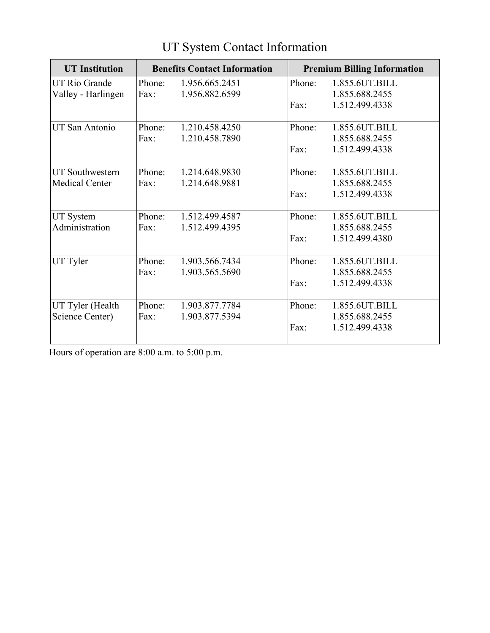| <b>UT</b> Institution  |        | <b>Benefits Contact Information</b> | <b>Premium Billing Information</b> |                |  |
|------------------------|--------|-------------------------------------|------------------------------------|----------------|--|
| <b>UT Rio Grande</b>   | Phone: | 1.956.665.2451                      | Phone:                             | 1.855.6UT.BILL |  |
| Valley - Harlingen     | Fax:   | 1.956.882.6599                      |                                    | 1.855.688.2455 |  |
|                        |        |                                     | Fax:                               | 1.512.499.4338 |  |
| <b>UT San Antonio</b>  | Phone: | 1.210.458.4250                      | Phone:                             | 1.855.6UT.BILL |  |
|                        | Fax:   | 1.210.458.7890                      |                                    | 1.855.688.2455 |  |
|                        |        |                                     | Fax:                               | 1.512.499.4338 |  |
|                        |        |                                     |                                    |                |  |
| <b>UT Southwestern</b> | Phone: | 1.214.648.9830                      | Phone:                             | 1.855.6UT.BILL |  |
| <b>Medical Center</b>  | Fax:   | 1.214.648.9881                      |                                    | 1.855.688.2455 |  |
|                        |        |                                     | Fax:                               | 1.512.499.4338 |  |
|                        |        |                                     |                                    |                |  |
| <b>UT System</b>       | Phone: | 1.512.499.4587                      | Phone:                             | 1.855.6UT.BILL |  |
| Administration         | Fax:   | 1.512.499.4395                      |                                    | 1.855.688.2455 |  |
|                        |        |                                     | Fax:                               | 1.512.499.4380 |  |
| UT Tyler               | Phone: | 1.903.566.7434                      | Phone:                             | 1.855.6UT.BILL |  |
|                        | Fax:   | 1.903.565.5690                      |                                    | 1.855.688.2455 |  |
|                        |        |                                     | Fax:                               | 1.512.499.4338 |  |
|                        |        |                                     |                                    |                |  |
| UT Tyler (Health       | Phone: | 1.903.877.7784                      | Phone:                             | 1.855.6UT.BILL |  |
| Science Center)        | Fax:   | 1.903.877.5394                      |                                    | 1.855.688.2455 |  |
|                        |        |                                     | Fax:                               | 1.512.499.4338 |  |

# UT System Contact Information

Hours of operation are 8:00 a.m. to 5:00 p.m.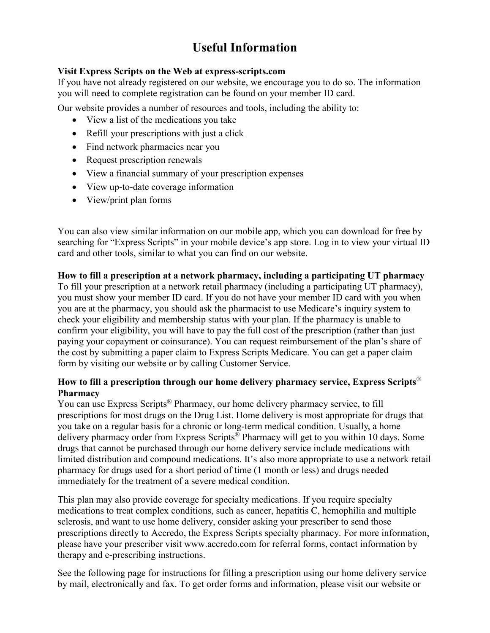# **Useful Information**

### **Visit Express Scripts on the Web at express-scripts.com**

If you have not already registered on our website, we encourage you to do so. The information you will need to complete registration can be found on your member ID card.

Our website provides a number of resources and tools, including the ability to:

- View a list of the medications you take
- Refill your prescriptions with just a click
- Find network pharmacies near you
- Request prescription renewals
- View a financial summary of your prescription expenses
- View up-to-date coverage information
- View/print plan forms

You can also view similar information on our mobile app, which you can download for free by searching for "Express Scripts" in your mobile device's app store. Log in to view your virtual ID card and other tools, similar to what you can find on our website.

# **How to fill a prescription at a network pharmacy, including a participating UT pharmacy**

To fill your prescription at a network retail pharmacy (including a participating UT pharmacy), you must show your member ID card. If you do not have your member ID card with you when you are at the pharmacy, you should ask the pharmacist to use Medicare's inquiry system to check your eligibility and membership status with your plan. If the pharmacy is unable to confirm your eligibility, you will have to pay the full cost of the prescription (rather than just paying your copayment or coinsurance). You can request reimbursement of the plan's share of the cost by submitting a paper claim to Express Scripts Medicare. You can get a paper claim form by visiting our website or by calling Customer Service.

# **How to fill a prescription through our home delivery pharmacy service, Express Scripts**® **Pharmacy**

You can use Express Scripts® Pharmacy, our home delivery pharmacy service, to fill prescriptions for most drugs on the Drug List. Home delivery is most appropriate for drugs that you take on a regular basis for a chronic or long-term medical condition. Usually, a home delivery pharmacy order from Express Scripts<sup>®</sup> Pharmacy will get to you within 10 days. Some drugs that cannot be purchased through our home delivery service include medications with limited distribution and compound medications. It's also more appropriate to use a network retail pharmacy for drugs used for a short period of time (1 month or less) and drugs needed immediately for the treatment of a severe medical condition.

This plan may also provide coverage for specialty medications. If you require specialty medications to treat complex conditions, such as cancer, hepatitis C, hemophilia and multiple sclerosis, and want to use home delivery, consider asking your prescriber to send those prescriptions directly to Accredo, the Express Scripts specialty pharmacy. For more information, please have your prescriber visit [www.accredo.com](http://www.accredo.com/) for referral forms, contact information by therapy and e-prescribing instructions.

See the following page for instructions for filling a prescription using our home delivery service by mail, electronically and fax. To get order forms and information, please visit our website or